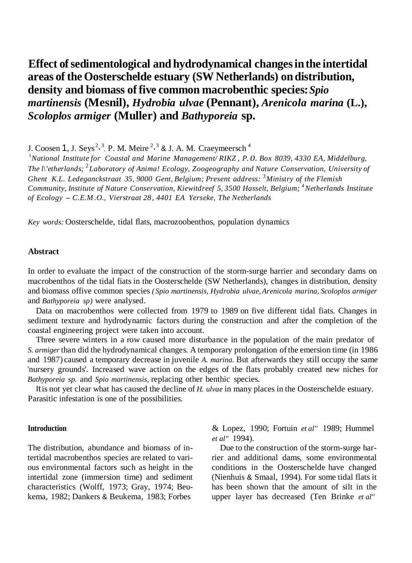# **Effect ofsedimentological and hydrodynamical changesinthe intertidal areas of the Oosterschelde estuary (SW Netherlands) on distribution, density and biomass offive common macrobenthic species:***Spio martinensis* **(Mesnil),** *Hydrobia ulvae* **(Pennant),** *Arenicola marina* **(L.),** *Scoloplos armiger* **(Muller) and** *Bathyporeia* **sp.**

J. Coosen 1, J. Seys<sup>2, 3</sup>, P. M. Meire <sup>2, 3</sup> & J. A. M. Craeymeersch<sup>4</sup>

1 *National Institute for Coastal and Marine Management/ RIKZ , P. 0. Box 8039, 4330 EA, Middelburg, The l\'etherlands;* <sup>2</sup> *Laboratory of Anima! Ecology, Zoogeography and Nature Conservation, University of Ghent K.L. Ledeganckstraat 35, 9000 Gent, Belgium; Present address:* <sup>3</sup> *Ministry of the Flemish Community, Institute of Nature Conservation, Kiewitdreef 5, 3500 Hasselt, Belgium;* <sup>4</sup> *Netherlands Institute of Ecology* - *C.E.M .O., Vierstraat 28, <sup>4401</sup> EA Yerseke, The Netherlands*

*Key words:* Oosterschelde, tidal flats, macrozoobenthos, population dynamics

### **Abstract**

In order to evaluate the impact of the construction of the storm-surge harrier and secondary dams on macrobenthos of the tidal fiats in the Oosterschelde (SW Netherlands), changes in distribution, density and biomass offive common species *( Spio martinensis, Hydrobia ulvae,Arenicola marina, Scoloplos armiger*  and *Bathyporeia sp)* were analysed.

Data on macrobenthos were collected from 1979 to 1989 on five different tidal fiats. Changes in sediment texture and hydrodynamic factors during the construction and after the completion of the coastal engineering project were taken into account.

Three severe winters in a row caused more disturbance in the population of the main predator of *S. armiger* than did the hydrodynamical changes. A temporary prolongation ofthe emersion time (in 1986 and 1987) caused a temporary decrease in juvenile *A. marina.* But afterwards they still occupy the same 'nursery grounds'. Increased wave action on the edges of the flats probably created new niches for *Bathyporeia sp.* and *Spio martinensis,* replacing other benthic species.

Itis not yet clear what has caused the decline of *H. ulvae* in many places in the Oosterschelde estuary. Parasitic infestation is one of the possibilities.

The distribution, abundance and biomass of intertidal macrobenthos species are related to various environmental factors such as height in the intertidal zone (immersion time) and sediment characteristics (Wolff, 1973; Gray, 1974; Beukema, 1982; Dankers & Beukema, 1983; Forbes

**Introduction** & Lopez, 1990; Fortuin *et al"* 1989; Hummel *et al"* 1994).

> Due to the construction of the storm-surge harrier and additional dams, some environmental conditions in the Oosterschelde have changed (Nienhuis & Smaal, 1994). For some tidal flats it has been shown that the amount of silt in the upper layer has decreased (Ten Brinke *et al"*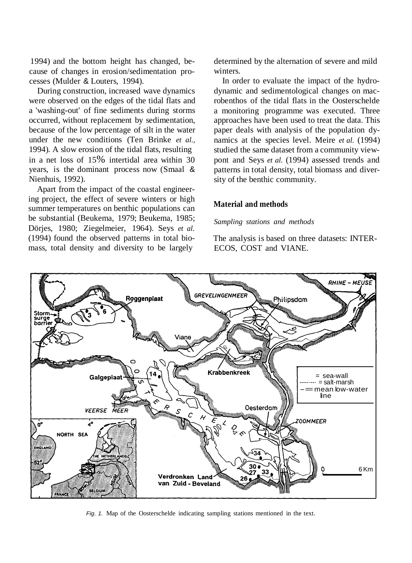1994) and the bottom height has changed, because of changes in erosion/sedimentation processes (Mulder & Louters, 1994).

During construction, increased wave dynamics were observed on the edges of the tidal flats and a 'washing-out' of fine sediments during storms occurred, without replacement by sedimentation, because of the low percentage of silt in the water under the new conditions (Ten Brinke *et al.,* 1994). A slow erosion of the tidal flats, resulting in a net loss of 15% intertidal area within 30 years, is the dominant process now (Smaal & Nienhuis, 1992).

Apart from the impact of the coastal engineering project, the effect of severe winters or high summer temperatures on benthic populations can be substantial (Beukema, 1979; Beukema, 1985; Dörjes, 1980; Ziegelmeier, 1964). Seys *et al.* (1994) found the observed patterns in total biomass, total density and diversity to be largely

determined by the alternation of severe and mild winters.

In order to evaluate the impact of the hydrodynamic and sedimentological changes on macrobenthos of the tidal flats in the Oosterschelde a monitoring programme was executed. Three approaches have been used to treat the data. This paper deals with analysis of the population dynamics at the species level. Meire *et al.* (1994) studied the same dataset from a community viewpont and Seys *et al.* (1994) assessed trends and patterns in total density, total biomass and diversity of the benthic community.

# **Material and methods**

# *Sampling stations and methods*

The analysis is based on three datasets: INTER-ECOS, COST and VIANE.



*Fig. 1.* Map of the Oosterschelde indicating sampling stations mentioned in the text.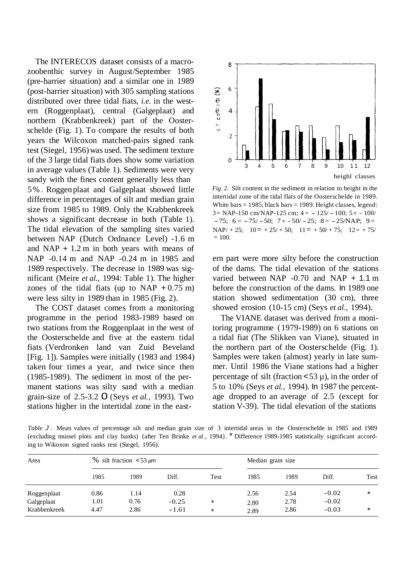The INTERECOS dataset consists of a macrozoobenthic survey in August/September 1985 (pre-harrier situation) and a similar one in 1989 (post-harrier situation) with 305 sampling stations distributed over three tidal fiats, *i.e.* in the western (Roggenplaat), central (Galgeplaat) and northern (Krabbenkreek) part of the Oosterschelde (Fig. 1). To compare the results of both years the Wilcoxon matched-pairs signed rank test (Siegel, 1956)was used. The sediment texture of the 3 large tidal fiats does show some variation in average values (Table 1). Sediments were very sandy with the fines content generally less than 5% . Roggenplaat and Galgeplaat showed little difference in percentages of silt and median grain size from 1985 to 1989. Only the Krabbenkreek shows a significant decrease in both (Table 1). The tidal elevation of the sampling sites varied between NAP (Dutch Ordnance Level) -1.6 m and NAP  $+ 1.2$  m in both years with means of NAP -0.14 m and NAP -0.24 m in 1985 and 1989 respectively. The decrease in 1989 was significant (Meire *et al.,* 1994: Table 1). The higher zones of the tidal fiats (up to NAP  $+0.75$  m) were less silty in 1989 than in 1985 (Fig. 2).

The COST dataset comes from a monitoring programme in the period 1983-1989 based on two stations from the Roggenplaat in the west of the Oosterschelde and five at the eastern tidal fiats (Verdronken land van Zuid Beveland [Fig. 1]). Samples were initially (1983 and 1984) taken four times a year, and twice since then (1985-1989). The sediment in most of the permanent stations was silty sand with a median grain-size of 2.5-3.2 0 (Seys *et al.,* 1993). Two stations higher in the intertidal zone in the east-



*Fig. 2.* Silt content in the sediment in relation to height in the intertidal zone of the tidal flats of the Oosterschelde in 1989. White bars  $= 1985$ ; black bars  $= 1989$ . Height classes, legend:  $3 = \text{NAP-150 cm/NAP-125 cm};$   $4 = -125/-100;$   $5 = -100/$  $-75$ ; 6 =  $-75/-50$ ; 7 =  $-50/-25$ ; 8 =  $-25/NAP$ ; 9 =  $NAP/ + 25$ ;  $10 = +25/ + 50$ ;  $11 = +50/ + 75$ ;  $12 = +75/$  $= 100.$ 

ern part were more silty before the construction of the dams. The tidal elevation of the stations varied between NAP -0.70 and NAP + 1.1 m before the construction of the dams. In 1989 one station showed sedimentation (30 cm), three showed erosion (10-15 cm) (Seys *et al.,* 1994).

The VIANE dataset was derived from a monitoring programme (1979-1989) on 6 stations on a tidal fiat (The Slikken van Viane), situated in the northern part of the Oosterschelde (Fig. 1). Samples were taken (almost) yearly in late summer. Until 1986 the Viane stations had a higher percentage of silt (fraction  $\lt 53 \mu$ ), in the order of 5 to 10% (Seys *et al.,* 1994). In 1987 the percentage dropped to an average of 2.5 (except for station V-39). The tidal elevation of the stations

*Table* **J**. Mean values of percentage silt and median grain size of 3 intertidal areas in the Oosterschelde in 1985 and 1989 (excluding mussel plots and clay banks) {after Ten Brinke *et al.,* 1994}. \* Difference 1989-1985 statistically significant according to Wikoxon signed ranks test (Siegel, 1956).

| Area         | $\%$ silt fraction <53 $\mu$ m |      |         |         | Median grain size |      |         |        |
|--------------|--------------------------------|------|---------|---------|-------------------|------|---------|--------|
|              | 1985                           | 1989 | Diff.   | Test    | 1985              | 1989 | Diff.   | Test   |
| Roggenplaat  | 0.86                           | 1.14 | 0.28    |         | 2.56              | 2.54 | $-0.02$ | $\ast$ |
| Galgeplaat   | 1.01                           | 0.76 | $-0.25$ | $\star$ | 2.80              | 2.78 | $-0.02$ |        |
| Krabbenkreek | 4.47                           | 2.86 | $-1.61$ | $\star$ | 2.89              | 2.86 | $-0.03$ | $\ast$ |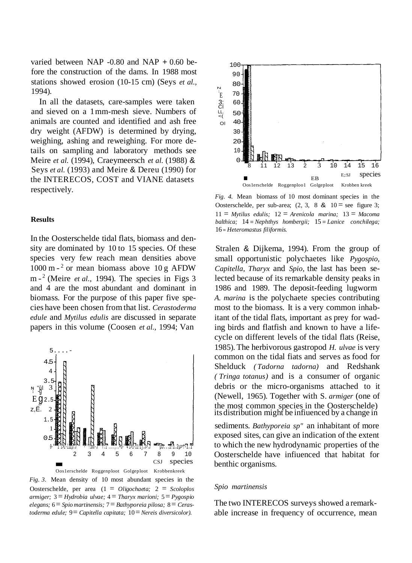varied between NAP  $-0.80$  and NAP  $+0.60$  before the construction of the dams. In 1988 most stations showed erosion (10-15 cm) (Seys *et al.,* 1994).

In all the datasets, care-samples were taken and sieved on a 1mm-mesh sieve. Numbers of animals are counted and identified and ash free dry weight (AFDW) is determined by drying, weighing, ashing and reweighing. For more details on sampling and laboratory methods see Meire *et al.* (1994), Craeymeersch *et al.* (1988) & Seys *et al.* (1993) and Meire & Dereu (1990) for the INTERECOS, COST and VIANE datasets respectively.

#### **Results**

In the Oosterschelde tidal flats, biomass and density are dominated by 10 to 15 species. Of these species very few reach mean densities above 1000 m  $-$ <sup>2</sup> or mean biomass above 10 g AFDW m  $-$ <sup>2</sup> (Meire *et al.,* 1994). The species in Figs 3 and 4 are the most abundant and dominant in biomass. For the purpose of this paper five species have been chosen from that list. *Cerastoderma edule* and *Mytilus edulis* are discussed in separate papers in this volume (Coosen *et al.,* 1994; Van



Oosterschelde, per area (1 = *Oligochaeta;* 2 = *Scoloplos armiger;* 3 = *Hydrobia ulvae;* 4 = *Tharyx marioni;* 5= *Pygospio elegans;* 6= *Spio martinensis;* 7= *Bathyporeia pilosa;* 8= *Cerastoderma edule;* 9= *Capitella capitata;* 10= *Nereis diversicolor).*



*Fig. 4.* Mean biomass of 10 most dominant species in the Oosterschelde, per sub-area;  $(2, 3, 8 \& 10 =$  see figure 3; 11 = *Mytilus edulis;* 12 = *Arenicola marina;* 13 = *Macoma balthica;* 14 = *Nephthys hombergii;* 15 = *Lanice conchilega;* 16 = *Heteromastus filiformis.*

Stralen & Dijkema, 1994). From the group of small opportunistic polychaetes like *Pygospio, Capitella, Tharyx* and *Spio,* the last has been selected because of its remarkable density peaks in 1986 and 1989. The deposit-feeding lugworm *A. marina* is the polychaete species contributing most to the biomass. It is a very common inhabitant of the tidal flats, important as prey for wading birds and flatfish and known to have a lifecycle on different levels of the tidal flats (Reise, 1985). The herbivorous gastropod *H. ulvae* is very common on the tidal fiats and serves as food for Shelduck *( Tadorna tadorna)* and Redshank *( Tringa totanus)* and is a consumer of organic debris or the micro-organisms attached to it (Newell, 1965). Together with S. *armiger* (one of the most common species in the Oosterschelde) its distribution might be infiuenced by <sup>a</sup> change in

sediments. *Bathyporeia sp"* an inhabitant of more exposed sites, can give an indication of the extent to which the new hydrodynamic properties of the Oosterschelde have infiuenced that habitat for benthic organisms.

#### *Spio martinensis*

The two INTERECOS surveys showed a remarkable increase in frequency of occurrence, mean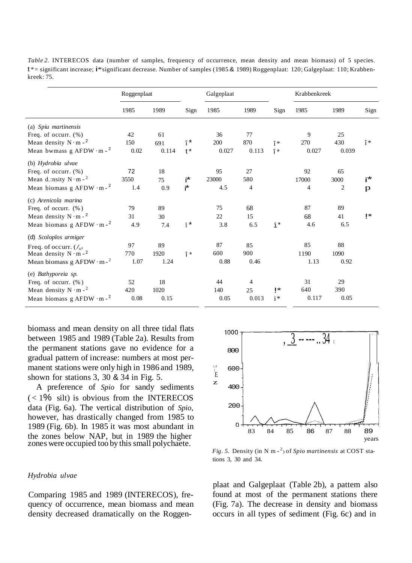| <i>Table 2.</i> INTERECOS data (number of samples, frequency of occurrence, mean density and mean biomass) of 5 species.          |  |
|-----------------------------------------------------------------------------------------------------------------------------------|--|
| $t^*$ = significant increase; i*significant decrease. Number of samples (1985 & 1989) Roggenplaat: 120; Galgeplaat: 110; Krabben- |  |
| kreek: 75.                                                                                                                        |  |

|                                              | Roggenplaat |       |                        | Galgeplaat |                |             | Krabbenkreek |       |             |
|----------------------------------------------|-------------|-------|------------------------|------------|----------------|-------------|--------------|-------|-------------|
|                                              | 1985        | 1989  | Sign                   | 1985       | 1989           | Sign        | 1985         | 1989  | Sign        |
| (a) Spiu martinensis                         |             |       |                        |            |                |             |              |       |             |
| Freq. of occurr. $(\%)$                      | 42          | 61    |                        | 36         | 77             |             | 9            | 25    |             |
| Mean density $N \cdot m -2$                  | 150         | 691   | $\hat{i}$ <sup>*</sup> | 200        | 870            | $\hat{i}$   | 270          | 430   | $\hat{1}^*$ |
| Mean bwmass g AFDW $\cdot$ m - $^{2}$        | 0.02        | 0.114 | $t^*$                  | 0.027      | 0.113          | $\hat{I}$ * | 0.027        | 0.039 |             |
| (b) Hydrobia ulvae                           |             |       |                        |            |                |             |              |       |             |
| Freq. of occurr. $(\%)$                      | 72          | 18    |                        | 95         | 27             |             | 92           | 65    |             |
| Mean d.:nsity $N \cdot m - 2$                | 3550        | 75    | i*                     | 23000      | 580            |             | 17000        | 3000  | i*          |
| Mean biomass g AFDW $\cdot$ m - <sup>2</sup> | 1.4         | 0.9   | ŕ.                     | 4.5        | 4              |             | 4            | 2     | p           |
| (c) Arenicola marina                         |             |       |                        |            |                |             |              |       |             |
| Freq. of occurr. $(\%)$                      | 79          | 89    |                        | 75         | 68             |             | 87           | 89    |             |
| Mean density $N \cdot m - 2$                 | 31          | 30    |                        | 22         | 15             |             | 68           | 41    | 1*          |
| Mean biomass g AFDW $\cdot$ m - <sup>2</sup> | 4.9         | 7.4   | î*                     | 3.8        | 6.5            | $i^*$       | 4.6          | 6.5   |             |
| (d) Scoloplos armiger                        |             |       |                        |            |                |             |              |       |             |
| Freq. of occurr. $(\ell_{0}$                 | 97          | 89    |                        | 87         | 85             |             | 85           | 88    |             |
| Mean density $N \cdot m -^2$                 | 770         | 1920  | î*                     | 600        | 900            |             | 1190         | 1090  |             |
| Mean biomass g AFDW $\cdot$ m - <sup>2</sup> | 1.07        | 1.24  |                        | 0.88       | 0.46           |             | 1.13         | 0.92  |             |
| (e) Bathyporeia sp.                          |             |       |                        |            |                |             |              |       |             |
| Freq. of occurr. $(\%)$                      | 52          | 18    |                        | 44         | $\overline{4}$ |             | 31           | 29    |             |
| Mean density $N \cdot m -^2$                 | 420         | 1020  |                        | 140        | 25             | i×          | 640          | 390   |             |
| Mean biomass g AFDW $\cdot$ m - <sup>2</sup> | 0.08        | 0.15  |                        | 0.05       | 0.013          | $i*$        | 0.117        | 0.05  |             |

biomass and mean density on all three tidal flats between 1985 and 1989 (Table 2a). Results from the permanent stations gave no evidence for a gradual pattern of increase: numbers at most permanent stations were only high in 1986 and 1989, shown for stations 3, 30 & 34 in Fig. 5.

A preference of *Spio* for sandy sediments  $\langle$  < 1% silt) is obvious from the INTERECOS data (Fig. 6a). The vertical distribution of *Spio,* however, has drastically changed from 1985 to 1989 (Fig. 6b). In 1985 it was most abundant in the zones below NAP, but in 1989 the higher zones were occupied too by this small polychaete.

# *Hydrobia ulvae*

Comparing 1985 and 1989 (INTERECOS), frequency of occurrence, mean biomass and mean density decreased dramatically on the Roggen-



*Fig. 5.* Density (in N m - 2 ) of *Spio martinensis* at COST stations 3, 30 and 34.

plaat and Galgeplaat (Table 2b), a pattem also found at most of the permanent stations there (Fig. 7a). The decrease in density and biomass occurs in all types of sediment (Fig. 6c) and in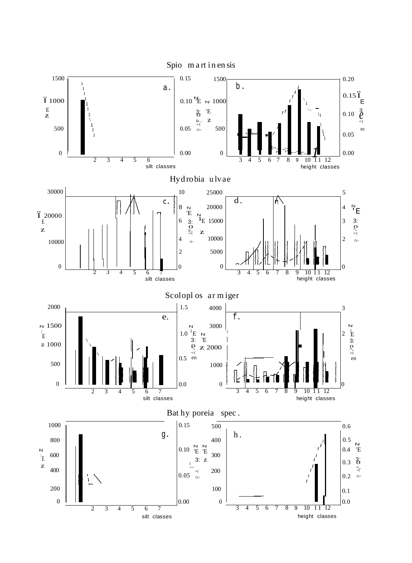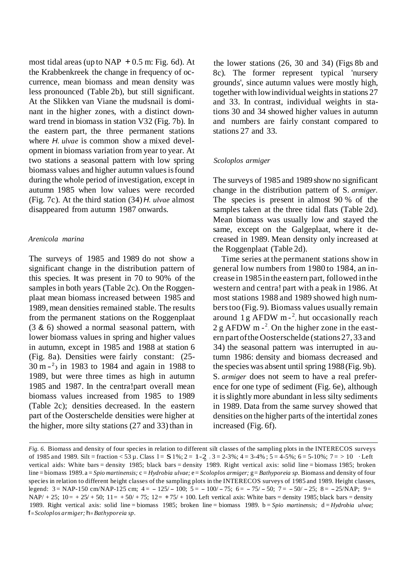most tidal areas (up to NAP  $+0.5$  m: Fig. 6d). At the Krabbenkreek the change in frequency of occurrence, mean biomass and mean density was less pronounced (Table 2b), but still significant. At the Slikken van Viane the mudsnail is dominant in the higher zones, with a distinct downward trend in biomass in station V32 (Fig. 7b). In the eastern part, the three permanent stations where *H. ulvae* is common show a mixed development in biomass variation from year to year. At two stations a seasonal pattern with low spring biomass values and higher autumn valuesisfound during the whole period ofinvestigation, except in autumn 1985 when low values were recorded (Fig. 7c). At the third station (34) *H. ulvae* almost disappeared from autumn 1987 onwards.

# *Arenicola marina*

The surveys of 1985 and 1989 do not show a significant change in the distribution pattern of this species. lt was present in 70 to 90% of the samples in both years (Table 2c). On the Roggenplaat mean biomass increased between 1985 and 1989, mean densities remained stable. The results from the permanent stations on the Roggenplaat (3 & 6) showed a normal seasonal pattern, with lower biomass values in spring and higher values in autumn, except in 1985 and 1988 at station 6 (Fig. 8a). Densities were fairly constant: (25-  $30 \text{ m} - 2$  in 1983 to 1984 and again in 1988 to 1989, but were three times as high in autumn 1985 and 1987. In the centra!part overall mean biomass values increased from 1985 to 1989 (Table 2c); densities decreased. In the eastern part of the Oosterschelde densities were higher at the higher, more silty stations  $(27 \text{ and } 33)$  than in

the lower stations (26, 30 and 34) (Figs 8b and 8c). The former represent typical 'nursery grounds', since autumn values were mostly high, together with low individual weights in stations 27 and 33. In contrast, individual weights in stations 30 and 34 showed higher values in autumn and numbers are fairly constant compared to stations 27 and 33.

# *Scoloplos armiger*

The surveys of 1985 and 1989 show no significant change in the distribution pattern of S. *armiger.* The species is present in almost 90 % of the samples taken at the three tidal flats (Table 2d). Mean biomass was usually low and stayed the same, except on the Galgeplaat, where it decreased in 1989. Mean density only increased at the Roggenplaat (Table 2d).

Time series at the permanent stations show in general low numbers from 1980 to 1984, an increase in 1985in the eastern part, followed inthe western and centra! part with a peak in 1986. At most stations 1988 and 1989 showed high numberstoo (Fig. 9). Biomass values usually remain around  $1 g$  AFDW m $-2$ , hut occasionally reach  $2 g$  AFDW m  $^{-2}$ . On the higher zone in the eastern part ofthe Oosterschelde (stations 27, 33 and 34) the seasonal pattern was interrupted in autumn 1986: density and biomass decreased and the species was absent until spring 1988(Fig. 9b). S. *armiger* does not seem to have a real preference for one type of sediment (Fig. 6e), although it isslightly more abundant in less silty sediments in 1989. Data from the same survey showed that densities on the higher parts of the intertidal zones increased (Fig. 6f).

of 1985 and 1989. Silt = fraction < 53 µ. Class 1 = S 1%; 2 = 1-2  $\frac{3}{2}$  3 = 2-3%; 4 = 3-4%; 5 = 4-5%; 6 = 5-10%; 7 = > 10  $\cdot$  Left *Fig. 6.* Biomass and density of four species in relation to different silt classes of the sampling plots in the INTERECOS surveys vertical aids: White bars = density 1985; black bars = density 1989. Right vertical axis: solid line = biomass 1985; broken line = biomass 1989. a = *Spio martinensis;* c = *Hydrobia ulvae;* e= *Scoloplos armiger;* g= *Bathyporeia sp.* Biomass and density of four species in relation to different height classes of the sampling plots in the INTERECOS surveys of 1985 and 1989. Height classes, legend:  $3 = \text{NAP-150 cm/NAP-125 cm}$ ;  $4 = -125/-100$ ;  $5 = -100/-75$ ;  $6 = -75/-50$ ;  $7 = -50/-25$ ;  $8 = -25/\text{NAP}$ ;  $9 =$  $NAP/ + 25$ ;  $10 = +25/ + 50$ ;  $11 = +50/ + 75$ ;  $12 = +75/ + 100$ . Left vertical axis: White bars = density 1985; black bars = density 1989. Right vertical axis: solid line = biomass 1985; broken line = biomass 1989. b = *Spio martinensis;* d = *Hydrobia ulvae;* f= *Scoloplos armiger;* h=*Bathyporeia sp.*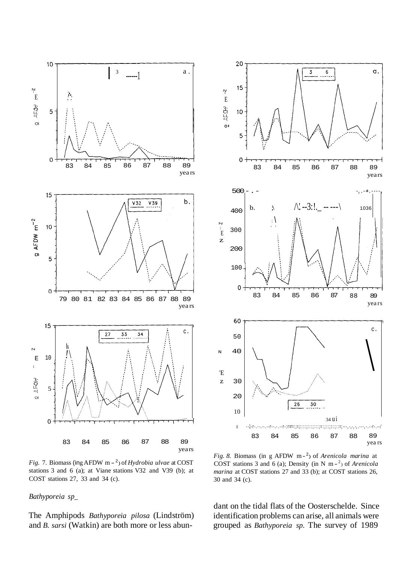



*Fig.* 7. Biomass (ing AFDW m - <sup>2</sup>) of *Hydrobia ulvae* at COST stations 3 and 6 (a); at Viane stations V32 and V39 (b); at COST stations 27, 33 and 34 (c).

# *Bathyporeia sp\_*

The Amphipods *Bathyporeia pilosa* (Lindström) and *B. sarsi* (Watkin) are both more or less abun-

*Fig. 8.* Biomass (in g AFDW m- 2) of *Arenicola marina* at COST stations 3 and 6 (a); Density (in N m - 2) of *Arenicola marina* at COST stations 27 and 33 (b); at COST stations 26, 30 and 34 (c).

dant on the tidal flats of the Oosterschelde. Since identification problems can arise, all animals were grouped as *Bathyporeia sp.* The survey of 1989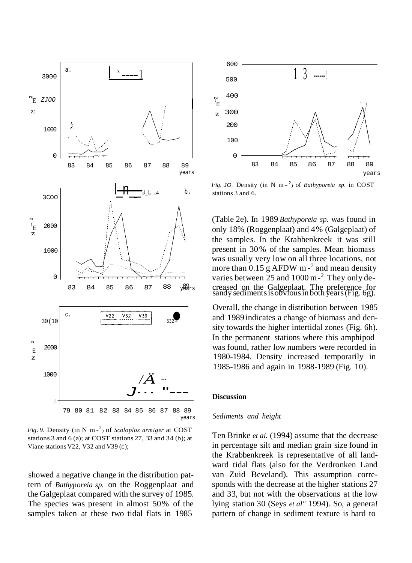

*Fig. 9.* Density (in N m - <sup>2</sup> ) of *Scoloplos armiger* at COST stations 3 and 6 (a); at COST stations 27, 33 and 34 (b); at Viane stations V22, V32 and V39 (c);

showed a negative change in the distribution pattern of *Bathyporeia sp.* on the Roggenplaat and the Galgeplaat compared with the survey of 1985. The species was present in almost 50% of the samples taken at these two tidal flats in 1985



*Fig.* JO. Density (in N m $-$ <sup>2</sup>) of *Bathyporeia sp.* in COST stations 3 and 6.

(Table 2e). In 1989 *Bathyporeia sp.* was found in only 18% (Roggenplaat) and 4% (Galgeplaat) of the samples. In the Krabbenkreek it was still present in 30% of the samples. Mean biomass was usually very low on all three locations, not more than  $0.15$  g AFDW m-<sup>2</sup> and mean density varies between 25 and 1000 m<sup>-2</sup>. They only de-83 84 85 86 87 88  $y\overset{\text{89}}{\text{e}}\overset{\text{92}}{\text{e}}\text{s}$  creased on the Galgeplaat. The preference for sandy sediments is obvious in both years (Fig. 6g).

> Overall, the change in distribution between 1985 and 1989 indicates a change of biomass and density towards the higher intertidal zones (Fig. 6h). In the permanent stations where this amphipod was found, rather low numbers were recorded in 1980-1984. Density increased temporarily in 1985-1986 and again in 1988-1989 (Fig. 10).

#### **Discussion**

### *Sediments and height*

Ten Brinke *et al.* (1994) assume that the decrease in percentage silt and median grain size found in the Krabbenkreek is representative of all landward tidal flats (also for the Verdronken Land van Zuid Beveland). This assumption corresponds with the decrease at the higher stations 27 and 33, but not with the observations at the low lying station 30 (Seys *et al"* 1994). So, a genera! pattern of change in sediment texture is hard to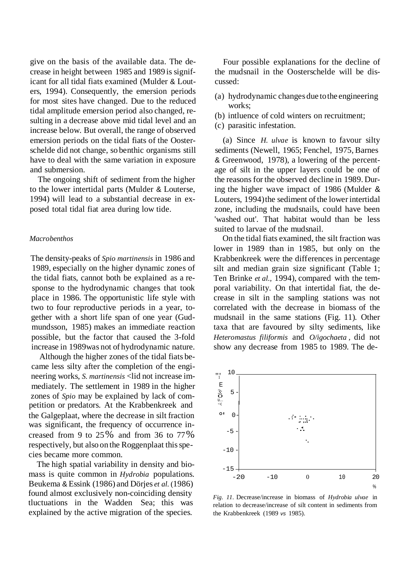give on the basis of the available data. The decrease in height between 1985 and 1989 is significant for all tidal fiats examined (Mulder & Louters, 1994). Consequently, the emersion periods for most sites have changed. Due to the reduced tidal amplitude emersion period also changed, resulting in a decrease above mid tidal level and an increase below. But overall, the range of observed emersion periods on the tidal fiats of the Oosterschelde did not change, so benthic organisms still have to deal with the same variation in exposure and submersion.

The ongoing shift of sediment from the higher to the lower intertidal parts (Mulder & Louterse, 1994) will lead to a substantial decrease in exposed total tidal fiat area during low tide.

# *Macrobenthos*

The density-peaks of *Spio martinensis* in 1986 and 1989, especially on the higher dynamic zones of the tidal fiats, cannot both be explained as a response to the hydrodynamic changes that took place in 1986. The opportunistic life style with two to four reproductive periods in a year, together with a short life span of one year (Gudmundsson, 1985) makes an immediate reaction possible, but the factor that caused the 3-fold increase in 1989was not of hydrodynamic nature.

Although the higher zones of the tidal fiats became less silty after the completion of the engineering works, *S. martinensis* <lid not increase immediately. The settlement in 1989 in the higher zones of *Spio* may be explained by lack of competition or predators. At the Krabbenkreek and the Galgeplaat, where the decrease in silt fraction was significant, the frequency of occurrence increased from 9 to 25% and from 36 to 77% respectively, but also on the Roggenplaat this species became more common.

The high spatial variability in density and biomass is quite common in *Hydrobia* populations. Beukema & Essink (1986) and Dörjes *et al.* (1986) found almost exclusively non-coinciding density tluctuations in the Wadden Sea; this was explained by the active migration of the species.

Four possible explanations for the decline of the mudsnail in the Oosterschelde will be discussed:

- (a) hydrodynamic changes due tothe engineering works;
- (b) intluence of cold winters on recruitment;
- (c) parasitic infestation.

(a) Since *H. ulvae* is known to favour silty sediments (Newell, 1965; Fenchel, 1975, Barnes & Greenwood, 1978), a lowering of the percentage of silt in the upper layers could be one of the reasons for the observed decline in 1989. During the higher wave impact of 1986 (Mulder & Louters, 1994) the sediment of the lower intertidal zone, including the mudsnails, could have been 'washed out'. That habitat would than be less suited to larvae of the mudsnail.

On the tidal fiats examined, the silt fraction was lower in 1989 than in 1985, but only on the Krabbenkreek were the differences in percentage silt and median grain size significant (Table 1; Ten Brinke *et al.,* 1994), compared with the temporal variability. On that intertidal fiat, the decrease in silt in the sampling stations was not correlated with the decrease in biomass of the mudsnail in the same stations (Fig. 11). Other taxa that are favoured by silty sediments, like *Heteromastus filiformis* and *O/igochaeta ,* did not show any decrease from 1985 to 1989. The de-



*Fig. 11.* Decrease/increase in biomass of *Hydrobia ulvae* in relation to decrease/increase of silt content in sediments from the Krabbenkreek (1989 *vs* 1985).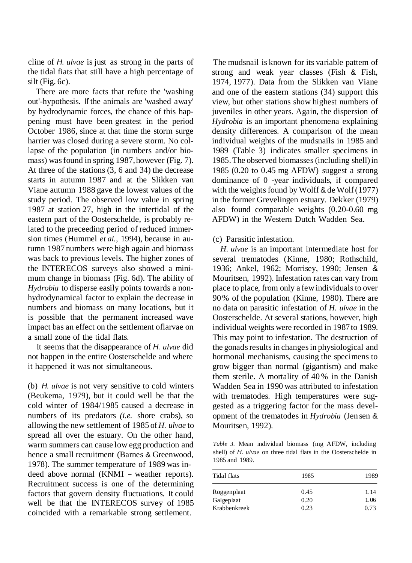cline of *H. ulvae* is just as strong in the parts of the tidal fiats that still have a high percentage of silt (Fig. 6c).

There are more facts that refute the 'washing out'-hypothesis. If the animals are 'washed away' by hydrodynamic forces, the chance of this happening must have been greatest in the period October 1986, since at that time the storm surge harrier was closed during a severe storm. No collapse of the population (in numbers and/or biomass) wasfound in spring 1987,however (Fig. 7). At three of the stations (3, 6 and 34) the decrease starts in autumn 1987 and at the Slikken van Viane autumn 1988 gave the lowest values of the study period. The observed low value in spring 1987 at station 27, high in the intertidal of the eastern part of the Oosterschelde, is probably related to the preceeding period of reduced immersion times (Hummel *et al.,* 1994), because in autumn 1987 numbers were high again and biomass was back to previous levels. The higher zones of the INTERECOS surveys also showed a minimum change in biomass (Fig. 6d). The ability of *Hydrobia* to disperse easily points towards a nonhydrodynamical factor to explain the decrease in numbers and biomass on many locations, but it is possible that the permanent increased wave impact bas an effect on the settlement oflarvae on a small zone of the tidal flats.

It seems that the disappearance of *H. ulvae* did not happen in the entire Oosterschelde and where it happened it was not simultaneous.

(b) *H. ulvae* is not very sensitive to cold winters (Beukema, 1979), but it could well be that the cold winter of 1984/1985 caused a decrease in numbers of its predators *(i.e.* shore crabs), so allowing the new settlement of 1985 of *H. ulvae* to spread all over the estuary. On the other hand, warm summers can cause low egg production and hence a small recruitment (Barnes & Greenwood, 1978). The summer temperature of 1989 was indeed above normal (KNMI - weather reports). Recruitment success is one of the determining factors that govern density fluctuations. It could well be that the INTERECOS survey of 1985 coincided with a remarkable strong settlement.

The mudsnail is known for its variable pattem of strong and weak year classes (Fish & Fish, 1974, 1977). Data from the Slikken van Viane and one of the eastern stations (34) support this view, but other stations show highest numbers of juveniles in other years. Again, the dispersion of *Hydrobia* is an important phenomena explaining density differences. A comparison of the mean individual weights of the mudsnails in 1985 and 1989 (Table 3) indicates smaller specimens in 1985. The observed biomasses (including shell) in 1985 (0.20 to 0.45 mg AFDW) suggest a strong dominance of 0 -year individuals, if compared with the weights found by Wolff  $&$  de Wolf(1977) in the former Grevelingen estuary. Dekker (1979) also found comparable weights (0.20-0.60 mg AFDW) in the Western Dutch Wadden Sea.

# (c) Parasitic infestation.

*H. ulvae* is an important intermediate host for several trematodes (Kinne, 1980; Rothschild, 1936; Ankel, 1962; Morrisey, 1990; Jensen & Mouritsen, 1992). Infestation rates can vary from place to place, from only a few individuals to over 90% of the population (Kinne, 1980). There are no data on parasitic infestation of *H. ulvae* in the Oosterschelde. At several stations, however, high individual weights were recorded in 1987to 1989. This may point to infestation. The destruction of the gonads results in changes in physiological and hormonal mechanisms, causing the specimens to grow bigger than normal (gigantism) and make them sterile. A mortality of 40 % in the Danish Wadden Sea in 1990 was attributed to infestation with trematodes. High temperatures were suggested as a triggering factor for the mass development of the trematodes in *Hydrobia* (Jen sen & Mouritsen, 1992).

*Table 3.* Mean individual biomass (mg AFDW, including shell) of *H. ulvae* on three tidal flats in the Oosterschelde in 1985 and 1989.

| Tidal flats  | 1985 | 1989 |  |  |
|--------------|------|------|--|--|
| Roggenplaat  | 0.45 | 1.14 |  |  |
| Galgeplaat   | 0.20 | 1.06 |  |  |
| Krabbenkreek | 0.23 | 0.73 |  |  |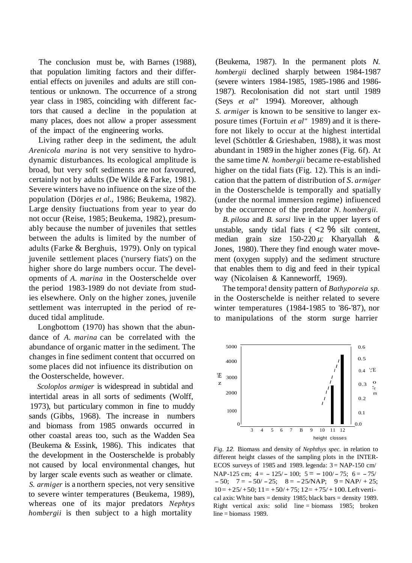The conclusion must be, with Barnes (1988), that population limiting factors and their differential effects on juveniles and adults are still contentious or unknown. The occurrence of a strong year class in 1985, coinciding with different factors that caused a decline in the population at many places, does not allow a proper assessment of the impact of the engineering works.

Living rather deep in the sediment, the adult *Arenicola marina* is not very sensitive to hydrodynamic disturbances. lts ecological amplitude is broad, but very soft sediments are not favoured, certainly not by adults (De Wilde & Farke, 1981). Severe winters have no infiuence on the size of the population (Dörjes *et al.,* 1986; Beukema, 1982). Large density fiuctuations from year to year do not occur (Reise, 1985; Beukema, 1982), presumably because the number of juveniles that settles between the adults is limited by the number of adults (Farke & Berghuis, 1979). Only on typical juvenile settlement places ('nursery fiats') on the higher shore do large numbers occur. The developments of *A. marina* in the Oosterschelde over the period 1983-1989 do not deviate from studies elsewhere. Only on the higher zones, juvenile settlement was interrupted in the period of reduced tidal amplitude.

Longbottom (1970) has shown that the abundance of *A. marina* can be correlated with the abundance of organic matter in the sediment. The changes in fine sediment content that occurred on some places did not infiuence its distribution on the Oosterschelde, however. <sup>IE</sup> 3000

*Scoloplos armiger* is widespread in subtidal and intertidal areas in all sorts of sediments (Wolff, 1973), but particulary common in fine to muddy sands (Gibbs, 1968). The increase in numbers and biomass from 1985 onwards occurred in other coastal areas too, such as the Wadden Sea (Beukema & Essink, 1986). This indicates that the development in the Oosterschelde is probably not caused by local environmental changes, hut by larger scale events such as weather or climate. *S. armiger* is a northern species, not very sensitive to severe winter temperatures (Beukema, 1989), whereas one of its major predators *Nephtys hombergii* is then subject to a high mortality

(Beukema, 1987). In the permanent plots *N. hombergii* declined sharply between 1984-1987 (severe winters 1984-1985, 1985-1986 and 1986- 1987). Recolonisation did not start until 1989 (Seys *et al"* 1994). Moreover, although

*S. armiger* is known to be sensitive to langer exposure times (Fortuin *et al"* 1989) and it is therefore not likely to occur at the highest intertidal level (Schöttler & Grieshaben, 1988), it was most abundant in 1989 in the higher zones (Fig. 6f). At the same time *N. hombergii* became re-established higher on the tidal fiats (Fig. 12). This is an indication that the pattern of distribution of *S. armiger* in the Oosterschelde is temporally and spatially (under the normal immersion regime) infiuenced by the occurrence of the predator *N. hombergii.*

*B. pilosa* and *B. sarsi* live in the upper layers of unstable, sandy tidal fiats  $($  <2  $\%$  silt content, median grain size 150-220 *µ;* Kharyallah & Jones, 1980). There they find enough water movement (oxygen supply) and the sediment structure that enables them to dig and feed in their typical way (Nicolaisen & Kanneworff, 1969).

The tempora! density pattern of *Bathyporeia sp.* in the Oosterschelde is neither related to severe winter temperatures (1984-1985 to '86-'87), nor to manipulations of the storm surge harrier



*Fig. 12.* Biomass and density of *Nephthys spec.* in relation to different height classes of the sampling plots in the INTER-ECOS surveys of 1985 and 1989. legenda:  $3 = \text{NAP-150 cm}$ NAP-125 cm;  $4 = -125/ - 100$ ;  $5 = -100/ - 75$ ;  $6 = -75/$  $-50$ ;  $7 = -50/-25$ ;  $8 = -25/NAP$ ;  $9 = NAP/ +25$ ;  $10= +25/ +50$ ;  $11= +50/ +75$ ;  $12= +75/ +100$ . Left vertical axis: White bars = density 1985; black bars = density 1989. Right vertical axis: solid line = biomass 1985; broken line = biomass 1989.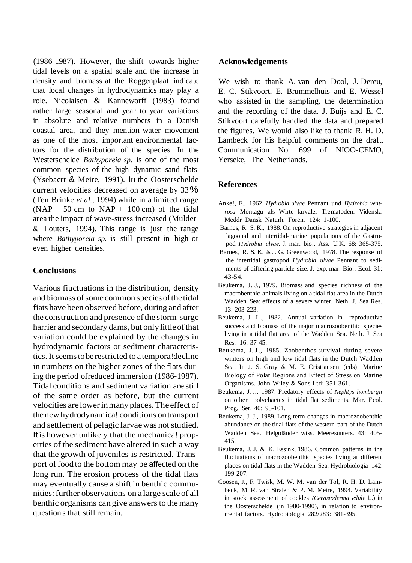(1986-1987). However, the shift towards higher tidal levels on a spatial scale and the increase in density and biomass at the Roggenplaat indicate that local changes in hydrodynamics may play a role. Nicolaisen & Kanneworff (1983) found rather large seasonal and year to year variations in absolute and relative numbers in a Danish coastal area, and they mention water movement as one of the most important environmental factors for the distribution of the species. In the Westerschelde *Bathyporeia sp.* is one of the most common species of the high dynamic sand flats (Ysebaert & Meire, 1991). In the Oosterschelde current velocities decreased on average by 33% (Ten Brinke *et al.,* 1994) while in a limited range  $(NAP + 50$  cm to  $NAP + 100$  cm) of the tidal area the impact of wave-stress increased (Mulder & Louters, 1994). This range is just the range where *Bathyporeia sp.* is still present in high or even higher densities.

# **Conclusions**

Various fiuctuations in the distribution, density and biomass of some common species of the tidal fiats have been observed before, during and after the construction and presence of the storm-surge harrier and secondary dams, but only little of that variation could be explained by the changes in hydrodynamic factors or sediment characteristics.Itseemstoberestricted to atempora!decline in numbers on the higher zones of the flats during the period ofreduced immersion (1986-1987). Tidal conditions and sediment variation are still of the same order as before, but the current velocities arelowerinmany places.Theeffect of thenewhydrodynamica! conditions ontransport and settlement of pelagic larvae was not studied. Itis however unlikely that the mechanica! properties of the sediment have altered in such a way that the growth of juveniles is restricted. Transport of food to the bottom may be affected on the long run. The erosion process of the tidal flats may eventually cause a shift in benthic communities: further observations on a large scale of all benthic organisms can give answers to the many question s that still remain.

# **Acknowledgements**

We wish to thank A. van den Dool, J. Dereu, E. C. Stikvoort, E. Brummelhuis and E. Wessel who assisted in the sampling, the determination and the recording of the data. J. Buijs and E. C. Stikvoort carefully handled the data and prepared the figures. We would also like to thank R. H. D. Lambeck for his helpful comments on the draft. Communication No. 699 of NIOO-CEMO, Yerseke, The Netherlands.

# **References**

- Anke!, F., 1962. *Hydrobia ulvae* Pennant und *Hydrobia ventrosa* Montagu als Wirte larvaler Trematoden. Vidensk. Meddr Dansk Naturh. Foren. 124: 1-100.
- Barnes, R. S. K., 1988. On reproductive strategies in adjacent lagoonal and intertidal-marine populations of the Gastropod *Hydrobia ulvae.* J. mar. bio!. Ass. U.K. 68: 365-375.
- Barnes, R. S. K. & J. G. Greenwood, 1978. The response of the intertidal gastropod *Hydrobia ulvae* Pennant to sediments of differing particle size. J. exp. mar. Bio!. Ecol. 31: 43-54.
- Beukema, J. J., 1979. Biomass and species richness of the macrobenthic animals living on a tidal flat area in the Dutch Wadden Sea: effects of a severe winter. Neth. J. Sea Res. 13: 203-223.
- Beukema, J. J ., 1982. Annual variation in reproductive success and biomass of the major macrozoobenthic species living in a tidal flat area of the Wadden Sea. Neth. J. Sea Res. 16: 37-45.
- Beukema, J. J., 1985. Zoobenthos survival during severe winters on high and low tidal flats in the Dutch Wadden Sea. In J. S. Gray & M. E. Cristiansen (eds), Marine Biology of Polar Regions and Effect of Stress on Marine Organisms. John Wiley & Sons Ltd: 351-361.
- Beukema, J. J., 1987. Predatory effects of *Nephtys hombergii* on other polychaetes in tidal flat sediments. Mar. Ecol. Prog. Ser. 40: 95-101.
- Beukema, J. J., 1989. Long-term changes in macrozoobenthic abundance on the tidal flats of the western part of the Dutch Wadden Sea. Helgoländer wiss. Meeresunters. 43: 405- 415.
- Beukema, J. J. & K. Essink, 1986. Common patterns in the fluctuations of macrozoobenthic species living at different places on tidal flats in the Wadden Sea. Hydrobiologia 142: 199-207.
- Coosen, J., F. Twisk, M. W. M. van der Tol, R. H. D. Lambeck, M. R. van Stralen & P. M. Meire, 1994. Variability in stock assessment of cockles *(Cerastoderma edule* L.) in the Oosterschelde (in 1980-1990), in relation to environmental factors. Hydrobiologia 282/283: 381-395.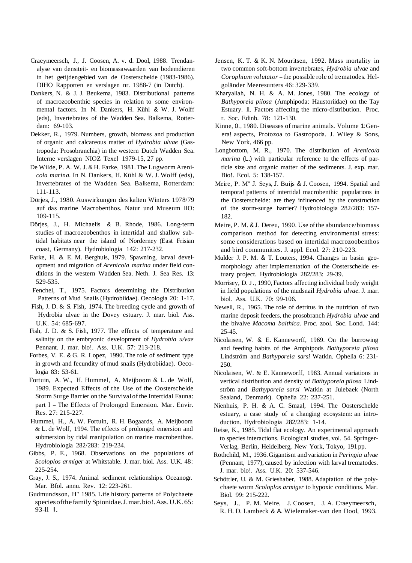- Craeymeersch, J., J. Coosen, A. v. d. Dool, 1988. Trendanalyse van densiteit- en biomassawaarden van bodemdieren in het getijdengebied van de Oosterschelde (1983-1986). DIHO Rapporten en verslagen nr. 1988-7 (in Dutch).
- Dankers, N. & J. J. Beukema, 1983. Distributional patterns of macrozoobenthic species in relation to some environmental factors. In N. Dankers, H. Kühl & W. J. Wolff (eds), Invertebrates of the Wadden Sea. Balkema, Rotterdam: 69-103.
- Dekker, R., 1979. Numbers, growth, biomass and production of organic and calcareous matter of *Hydrobia ulvae* (Gastropoda: Prosobranchia) in the western Dutch Wadden Sea. Interne verslagen NIOZ Texel 1979-15, 27 pp.
- De Wilde, P. A. W. J. & H. Farke, 1981. The Lugworm Areni*cola marina.* In N. Dankers, H. Kühl & W. J. Wolff (eds), Invertebrates of the Wadden Sea. Balkema, Rotterdam: 111-113.
- Dörjes, J., 1980. Auswirkungen des kalten Winters 1978/79 auf das marine Macrobenthos. Natur und Museum llO: 109-115.
- Dörjes, J., H. Michaelis & B. Rhode, 1986. Long-term studies of macrozoobenthos in intertidal and shallow subtidal habitats near the island of Norderney (East Frisian coast, Germany). Hydrobiologia 142: 217-232.
- Farke, H. & E. M. Berghuis, 1979. Spawning, larval development and migration of *Arenicola marina* under field conditions in the western Wadden Sea. Neth. J. Sea Res. 13: 529-535.
- Fenchel, T., 1975. Factors determining the Distribution Patterns of Mud Snails (Hydrobiidae). Oecologia 20: 1-17.
- Fish, J. D. & S. Fish, 1974. The breeding cycle and growth of Hydrobia ulvae in the Dovey estuary. J. mar. biol. Ass. U.K. 54: 685-697.
- Fish, J. D. & S. Fish, 1977. The effects of temperature and salinity on the embryonic development of *Hydrobia u/vae* Pennant. J. mar. bio!. Ass. U.K. 57: 213-218.
- Forbes, V. E. & G. R. Lopez, 1990. The role of sediment type in growth and fecundity of mud snails (Hydrobiidae). Oecologia 83: 53-61.
- Fortuin, A. W., H. Hummel, A. Meijboom & L. de Wolf, 1989. Expected Effects of the Use of the Oosterschelde Storm Surge Barrier on the Survival of the Intertidal Fauna: part 1 - The Effects of Prolonged Emersion. Mar. Envir. Res. 27: 215-227.
- Hummel, H., A. W. Fortuin, R. H. Bogaards, A. Meijboom & L. de Wolf, 1994. The effects of prolonged emersion and submersion by tidal manipulation on marine macrobenthos. Hydrobiologia 282/283: 219-234.
- Gibbs, P. E., 1968. Observations on the populations of *Scoloplos armiger* at Whitstable. J. mar. biol. Ass. U.K. 48: 225-254.
- Gray, J. S., 1974. Animal sediment relationships. Oceanogr. Mar. Bfol. annu. Rev. 12: 223-261.
- Gudmundsson, H" 1985. Life history patterns of Polychaete speciesofthe family Spionidae.J.mar.bio!.Ass.U.K. 65: 93-ll l.
- Jensen, K. T. & K. N. Mouritsen, 1992. Mass mortality in two common soft-bottom invertebrates, *Hydrobia ulvae* and *Corophium volutator*-the possible role of trematodes. Helgoländer Meeresunters 46: 329-339.
- Kharyallah, N. H. & A. M. Jones, 1980. The ecology of *Bathyporeia pilosa* (Amphipoda: Haustoriidae) on the Tay Estuary. ll. Factors affecting the micro-distribution. Proc. r. Soc. Edinb. 78: 121-130.
- Kinne, 0., 1980. Diseases of marine animals. Volume 1:Genera! aspects, Protozoa to Gastropoda. J. Wiley & Sons, New York, 466 pp.
- Longbottom, M. R., 1970. The distribution of *Arenico/a marina* (L.) with particular reference to the effects of particle size and organic matter of the sediments. J. exp. mar. Bio!. Ecol. 5: 138-157.
- Meire, P. M" J. Seys, J. Buijs & J. Coosen, 1994. Spatial and tempora! patterns of intertidal macrobenthic populations in the Oosterschelde: are they influenced by the construction of the storm-surge harrier? Hydrobiologia 282/283: 157- 182.
- Meire, P. M. & J. Dereu, 1990. Use of the abundance/biomass comparison method for detecting environmental stress: some considerations based on intertidal macrozoobenthos and bird communities. J. appl. Ecol. 27: 210-223.
- Mulder J. P. M. & T. Louters, 1994. Changes in basin geomorphology after implementation of the Oosterschelde estuary project. Hydrobiologia 282/283: 29-39.
- Morrisey, D. J., 1990, Factors affecting individual body weight in field populations of the mudsnail *Hydrobia ulvae.* J. mar. biol. Ass. U.K. 70: 99-106.
- Newell, R., 1965. The role of detritus in the nutrition of two marine deposit feeders, the prosobranch *Hydrobia ulvae* and the bivalve *Macoma balthica.* Proc. zool. Soc. Lond. 144: 25-45.
- Nicolaisen, W. & E. Kanneworff, 1969. On the burrowing and feeding habits of the Amphipods *Bathyporeia pilosa* Lindström and *Bathyporeia sarsi* Watkin. Ophelia 6: 231- 250.
- Nicolaisen, W. & E. Kanneworff, 1983. Annual variations in vertical distribution and density of *Bathyporeia pilosa* Lindström and *Bathyporeia sarsi* Watkin at Julebaek (North Sealand, Denmark). Ophelia 22: 237-251.
- Nienhuis, P. H. & A. C. Smaal, 1994. The Oosterschelde estuary, a case study of a changing ecosystem: an introduction. Hydrobiologia 282/283: 1-14.
- Reise, K., 1985. Tidal flat ecology. An experimental approach to species interactions. Ecological studies, vol. 54. Springer-Verlag, Berlin, Heidelberg, New York, Tokyo, 191pp.
- Rothchild, M., 1936.Gigantism and variation in *Peringia ulvae* (Pennant, 1977), caused by infection with larval trematodes. J. mar. bio!. Ass. U.K. 20: 537-546.
- Schöttler, U. & M. Grieshaber, 1988. Adaptation of the polychaete worm *Scoloplos armiger* to hypoxic conditions. Mar. Biol. 99: 215-222.
- Seys, J., P. M. Meire, J. Coosen, J. A. Craeymeersch, R. H. D. Lambeck & A. Wielemaker-van den Dool, 1993.